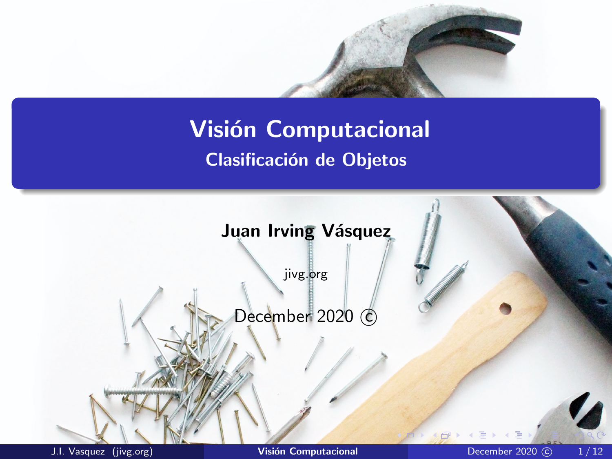# <span id="page-0-0"></span>**Visión Computacional** Clasificación de Objetos

**Juan Irving Vásquez** 

jivg.org

December 2020 C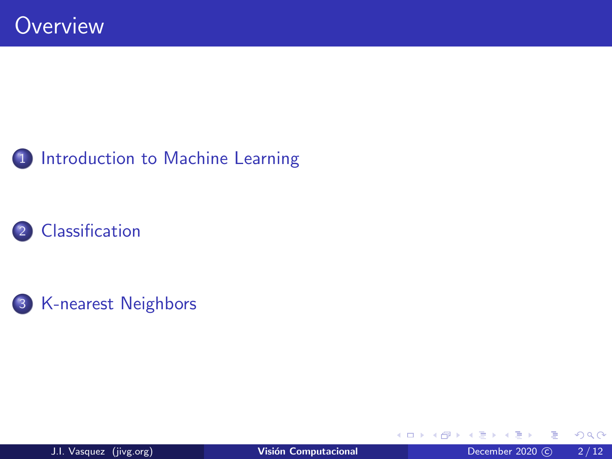





**∢ □ ▶ ⊣ 倒 ▶** 

重

 $299$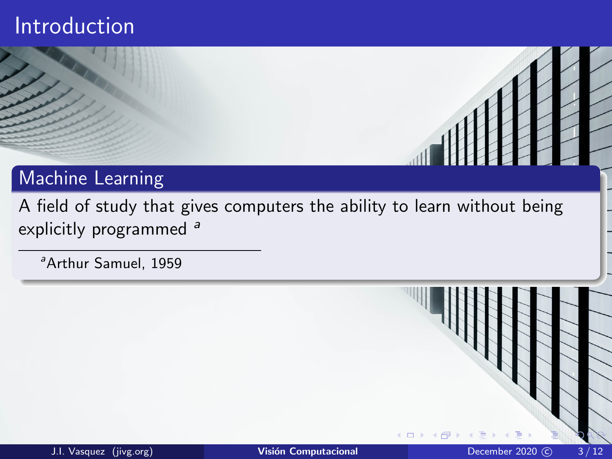### <span id="page-2-0"></span>Introduction

#### Machine Learning

A field of study that gives computers the ability to learn without being explicitly programmed<sup>a</sup>

<sup>a</sup> Arthur Samuel, 1959

4 口 下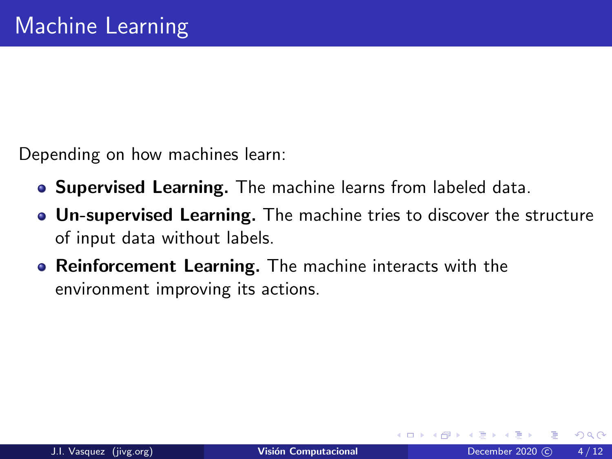Depending on how machines learn:

- **Supervised Learning.** The machine learns from labeled data.
- Un-supervised Learning. The machine tries to discover the structure of input data without labels.
- **Reinforcement Learning.** The machine interacts with the environment improving its actions.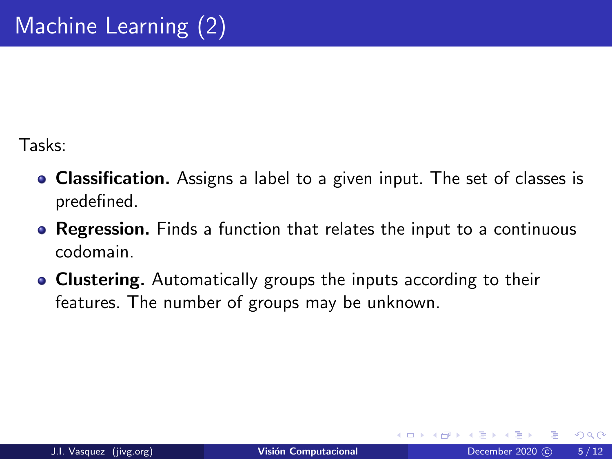Tasks:

- Classification. Assigns a label to a given input. The set of classes is predefined.
- **Regression.** Finds a function that relates the input to a continuous codomain.
- **Clustering.** Automatically groups the inputs according to their features. The number of groups may be unknown.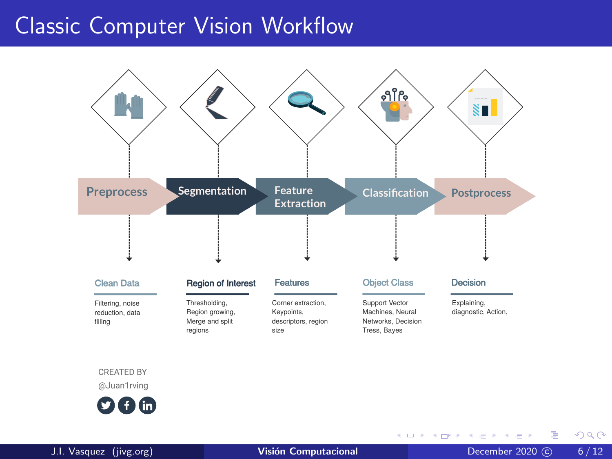### Classic Computer Vision Workflow Classic Computer Vision WorkFlow



CREATED BY

@Juan1rving



J.I. Vasquez (jivg.org) **Visión Computacional December 2020** (C) 6/12

 $\sim$ 

**KUP KOPP K E P** 

э

 $QQ$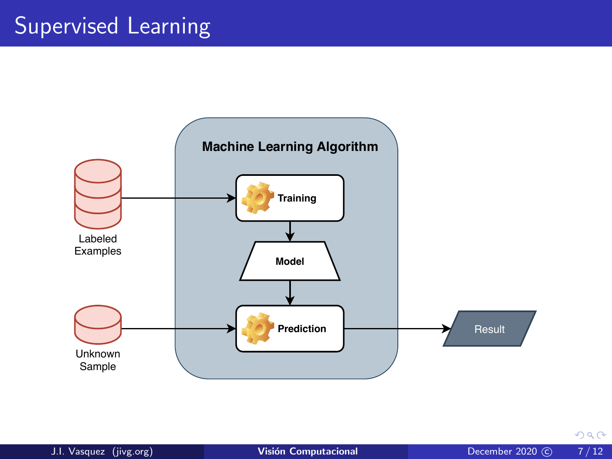# Supervised Learning



 $298$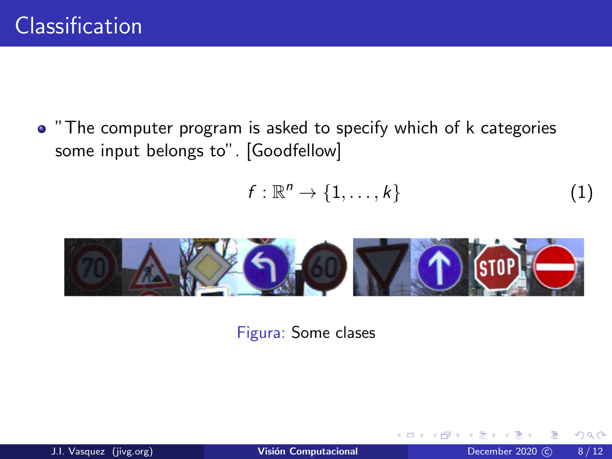<span id="page-7-0"></span>"The computer program is asked to specify which of k categories some input belongs to". [Goodfellow]

$$
f: \mathbb{R}^n \to \{1, \ldots, k\} \tag{1}
$$

€⊡



Figura: Some clases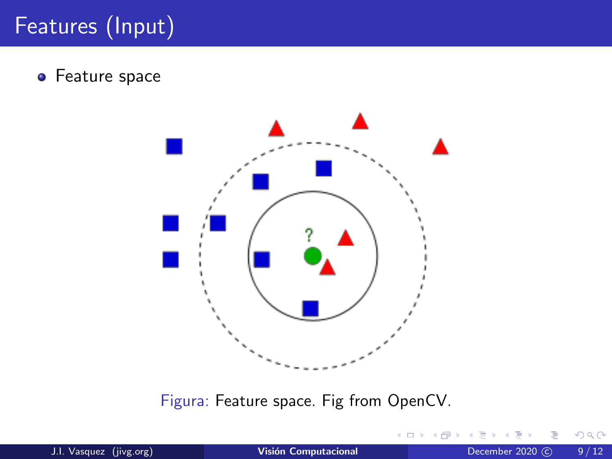# Features (Input)

**•** Feature space



Figura: Feature space. Fig from OpenCV.

4 **D F** 

 $299$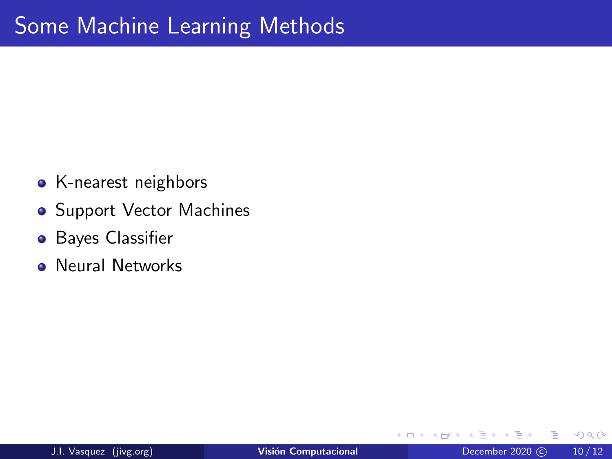- K-nearest neighbors
- **Support Vector Machines**
- **•** Bayes Classifier
- **Neural Networks**

4 □

∍

 $QQ$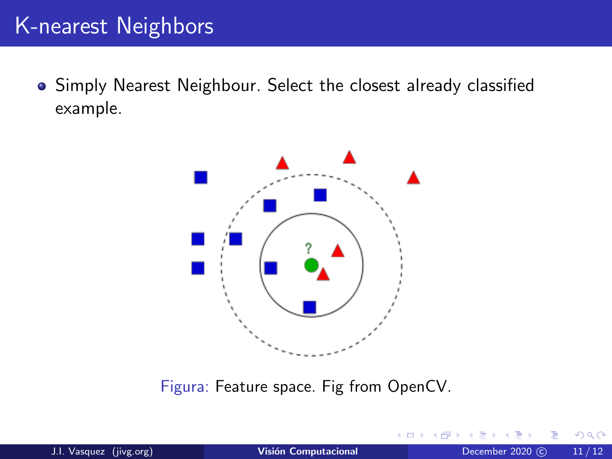## <span id="page-10-0"></span>K-nearest Neighbors

Simply Nearest Neighbour. Select the closest already classified example.



Figura: Feature space. Fig from OpenCV.